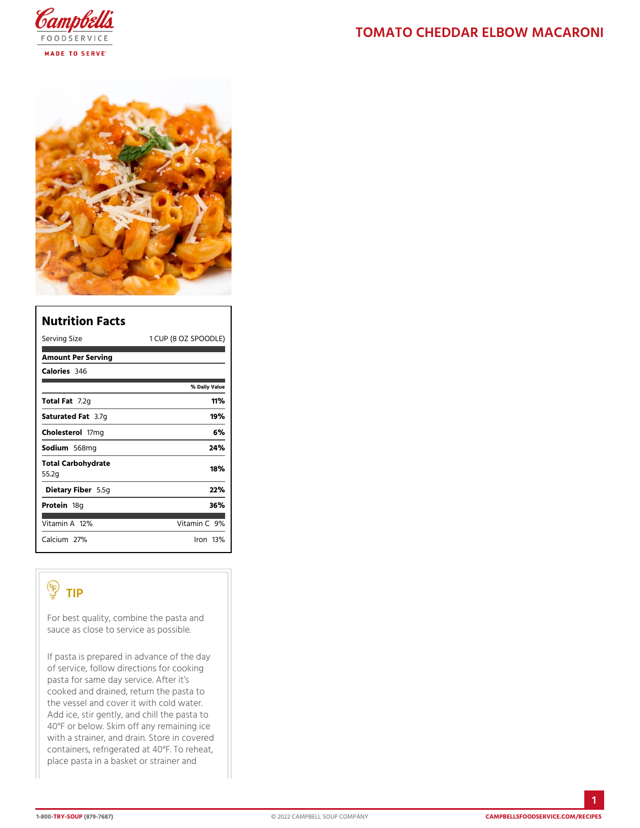| Nutrition Facts             |                   |                      |
|-----------------------------|-------------------|----------------------|
| Serving Size                |                   | 1 CUP (8 OZ SPOODLE) |
| Amount Per Serving          |                   |                      |
| Calorie3s46                 |                   |                      |
|                             | % Daily Vallue    |                      |
| Total Fat2g                 | 11%               |                      |
| Saturated 3F. atg           | 19%               |                      |
| Cholestefform g             | 6%                |                      |
| Sodium568mg                 | 24%               |                      |
| Total Carbohydrate<br>55.2g | 18%               |                      |
| Dietary F5ib5egr            | 22%               |                      |
| Proteifi8g                  | 36%               |                      |
| Vitamin1A2%                 | Vitamin9 <b>%</b> |                      |
| $C$ alcium <sup>7</sup> %   | $l$ ron 13 $\%$   |                      |

## TIP

For best quality, combine the pasta and sauce as close to service as possible.

If pasta is prepared in advance of the day of service, follow directions for cooking pasta for same day service. After it s cooked and drained, return the pasta to the vessel and cover it with cold water. Add ice, stir gently, and chill the pasta to 40°F or below. Skim off any remaining ice with a strainer, and drain. Store in covered containers, refrigerated at  $40^{\circ}$ F. To reheat, place pasta in a basket or strainer and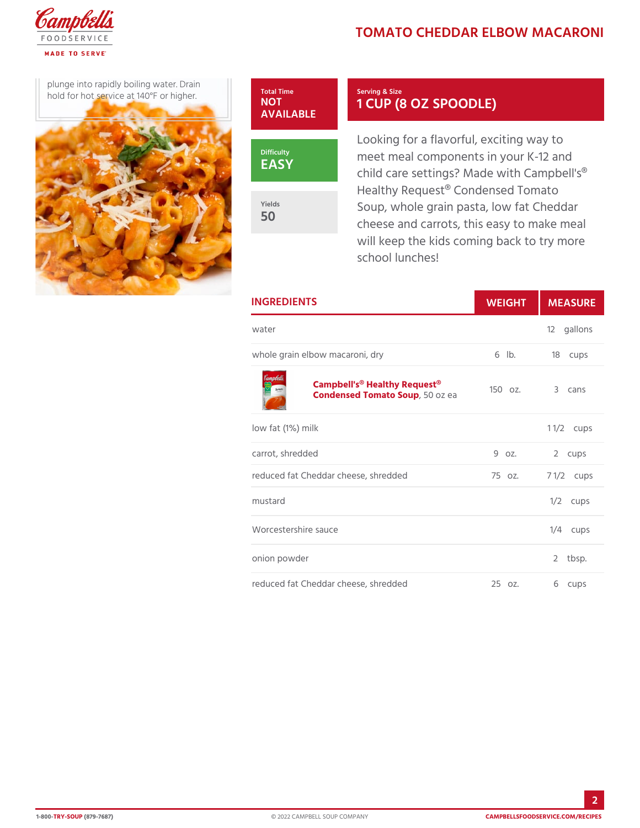## TOMATO CHEDDAR ELBOW M

plunge into rapidly boiling  $w$  at  $\frac{1}{2}$  Total Time hold for hot service at  $140^{\circ}$ F or



Serving & Size 1 CUP (8 OZ SPOODLE)

Looking for a flavorful, exciting meet meal components in your I child care settings? Made with Healthy Request<sup>®</sup> Condensed T Soup, whole grain pasta, low fa cheese and carrots, this easy t will keep the kids coming back school lunches!

| <b>INGREDIENTS</b>                                                                  | WEIGH | MEASU                |
|-------------------------------------------------------------------------------------|-------|----------------------|
| water                                                                               |       | 12 gallons           |
| whole grain elbow macaroni, dry 6 lb. 18 cups                                       |       |                      |
| Campbell's <sup>®</sup> Healthy Request <sup>®</sup> z.<br>Condensed Tomat 50Soupea |       | 3 cans               |
| low fat (1%) milk                                                                   |       | 1 $1/2$ ups          |
| carrot, shredded                                                                    |       | 9 oz. 2 cups         |
| reduced fat Cheddar cheese, shreddā5 oz.                                            |       | $7 \frac{1}{2}$ cups |
| mustard                                                                             |       | $1/2$ cups           |
| Worcestershire sauce                                                                |       | $1/4$ cups           |
| onion powder                                                                        |       | 2 tbsp.              |
| reduced fat Cheddar cheese, shredd 25 oz.                                           |       | 6 cups               |